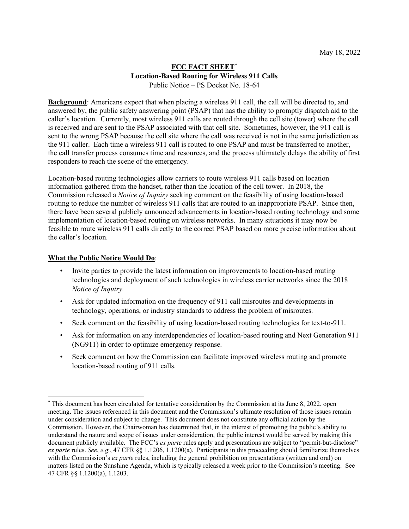## **FCC FACT SHEET[\\*](#page-0-0) Location-Based Routing for Wireless 911 Calls** Public Notice – PS Docket No. 18-64

**Background**: Americans expect that when placing a wireless 911 call, the call will be directed to, and answered by, the public safety answering point (PSAP) that has the ability to promptly dispatch aid to the caller's location. Currently, most wireless 911 calls are routed through the cell site (tower) where the call is received and are sent to the PSAP associated with that cell site. Sometimes, however, the 911 call is sent to the wrong PSAP because the cell site where the call was received is not in the same jurisdiction as the 911 caller. Each time a wireless 911 call is routed to one PSAP and must be transferred to another, the call transfer process consumes time and resources, and the process ultimately delays the ability of first responders to reach the scene of the emergency.

Location-based routing technologies allow carriers to route wireless 911 calls based on location information gathered from the handset, rather than the location of the cell tower. In 2018, the Commission released a *Notice of Inquiry* seeking comment on the feasibility of using location-based routing to reduce the number of wireless 911 calls that are routed to an inappropriate PSAP. Since then, there have been several publicly announced advancements in location-based routing technology and some implementation of location-based routing on wireless networks. In many situations it may now be feasible to route wireless 911 calls directly to the correct PSAP based on more precise information about the caller's location.

## **What the Public Notice Would Do**:

- Invite parties to provide the latest information on improvements to location-based routing technologies and deployment of such technologies in wireless carrier networks since the 2018 *Notice of Inquiry.*
- Ask for updated information on the frequency of 911 call misroutes and developments in technology, operations, or industry standards to address the problem of misroutes.
- Seek comment on the feasibility of using location-based routing technologies for text-to-911.
- Ask for information on any interdependencies of location-based routing and Next Generation 911 (NG911) in order to optimize emergency response.
- Seek comment on how the Commission can facilitate improved wireless routing and promote location-based routing of 911 calls.

<span id="page-0-0"></span><sup>\*</sup> This document has been circulated for tentative consideration by the Commission at its June 8, 2022, open meeting. The issues referenced in this document and the Commission's ultimate resolution of those issues remain under consideration and subject to change. This document does not constitute any official action by the Commission. However, the Chairwoman has determined that, in the interest of promoting the public's ability to understand the nature and scope of issues under consideration, the public interest would be served by making this document publicly available. The FCC's *ex parte* rules apply and presentations are subject to "permit-but-disclose" *ex parte* rules. *See*, *e.g.*, 47 CFR §§ 1.1206, 1.1200(a). Participants in this proceeding should familiarize themselves with the Commission's *ex parte* rules, including the general prohibition on presentations (written and oral) on matters listed on the Sunshine Agenda, which is typically released a week prior to the Commission's meeting. See 47 CFR §§ 1.1200(a), 1.1203.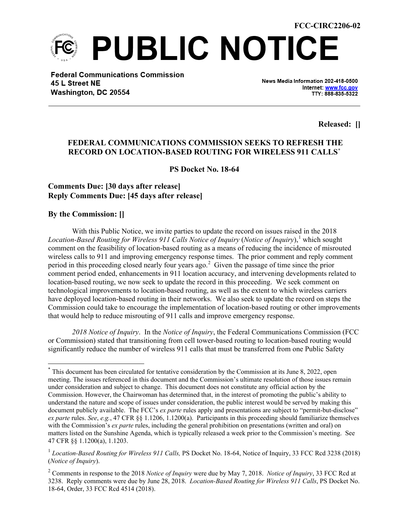**PUBLIC NOTICE** 

**Federal Communications Commission** 45 L Street NE Washington, DC 20554

News Media Information 202-418-0500 Internet: www.fcc.gov TTY: 888-835-5322

**Released: []**

## **FEDERAL COMMUNICATIONS COMMISSION SEEKS TO REFRESH THE RECORD ON LOCATION-BASED ROUTING FOR WIRELESS 911 CALLS[\\*](#page-1-0)**

**PS Docket No. 18-64**

## **Comments Due: [30 days after release] Reply Comments Due: [45 days after release]**

**By the Commission: []**

With this Public Notice, we invite parties to update the record on issues raised in the 2018 *Location-Based Routing for Wireless 911 Calls Notice of Inquiry* (*Notice of Inquiry*), [1](#page-1-1) which sought comment on the feasibility of location-based routing as a means of reducing the incidence of misrouted wireless calls to 911 and improving emergency response times. The prior comment and reply comment period in this proceeding closed nearly four years ago.<sup>[2](#page-1-2)</sup> Given the passage of time since the prior comment period ended, enhancements in 911 location accuracy, and intervening developments related to location-based routing, we now seek to update the record in this proceeding. We seek comment on technological improvements to location-based routing, as well as the extent to which wireless carriers have deployed location-based routing in their networks. We also seek to update the record on steps the Commission could take to encourage the implementation of location-based routing or other improvements that would help to reduce misrouting of 911 calls and improve emergency response.

*2018 Notice of Inquiry*. In the *Notice of Inquiry*, the Federal Communications Commission (FCC or Commission) stated that transitioning from cell tower-based routing to location-based routing would significantly reduce the number of wireless 911 calls that must be transferred from one Public Safety

<span id="page-1-0"></span><sup>\*</sup> This document has been circulated for tentative consideration by the Commission at its June 8, 2022, open meeting. The issues referenced in this document and the Commission's ultimate resolution of those issues remain under consideration and subject to change. This document does not constitute any official action by the Commission. However, the Chairwoman has determined that, in the interest of promoting the public's ability to understand the nature and scope of issues under consideration, the public interest would be served by making this document publicly available. The FCC's *ex parte* rules apply and presentations are subject to "permit-but-disclose" *ex parte* rules. *See*, *e.g.*, 47 CFR §§ 1.1206, 1.1200(a). Participants in this proceeding should familiarize themselves with the Commission's *ex parte* rules, including the general prohibition on presentations (written and oral) on matters listed on the Sunshine Agenda, which is typically released a week prior to the Commission's meeting. See 47 CFR §§ 1.1200(a), 1.1203.

<span id="page-1-1"></span><sup>&</sup>lt;sup>1</sup> *Location-Based Routing for Wireless 911 Calls, PS Docket No. 18-64, Notice of Inquiry, 33 FCC Rcd 3238 (2018)* (*Notice of Inquiry*).

<span id="page-1-2"></span><sup>2</sup> Comments in response to the 2018 *Notice of Inquiry* were due by May 7, 2018. *Notice of Inquiry*, 33 FCC Rcd at 3238. Reply comments were due by June 28, 2018. *Location-Based Routing for Wireless 911 Calls*, PS Docket No. 18-64, Order, 33 FCC Rcd 4514 (2018).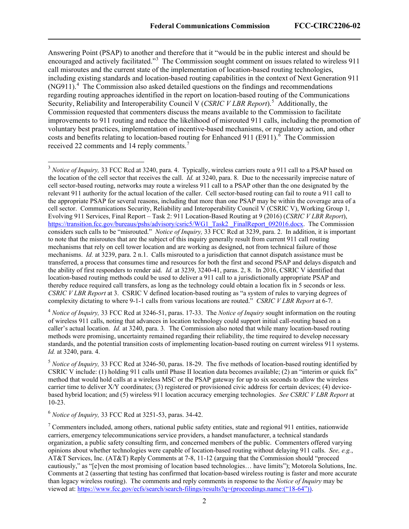Answering Point (PSAP) to another and therefore that it "would be in the public interest and should be encouraged and actively facilitated."<sup>[3](#page-2-0)</sup> The Commission sought comment on issues related to wireless 911 call misroutes and the current state of the implementation of location-based routing technologies, including existing standards and location-based routing capabilities in the context of Next Generation 911 (NG911).<sup>[4](#page-2-1)</sup> The Commission also asked detailed questions on the findings and recommendations regarding routing approaches identified in the report on location-based routing of the Communications Security, Reliability and Interoperability Council V (CSRIC V LBR Report).<sup>[5](#page-2-2)</sup> Additionally, the Commission requested that commenters discuss the means available to the Commission to facilitate improvements to 911 routing and reduce the likelihood of misrouted 911 calls, including the promotion of voluntary best practices, implementation of incentive-based mechanisms, or regulatory action, and other costs and benefits relating to location-based routing for Enhanced 911 (E911). $<sup>6</sup>$  $<sup>6</sup>$  $<sup>6</sup>$  The Commission</sup> received 22 comments and 14 reply comments.<sup>[7](#page-2-4)</sup>

<span id="page-2-1"></span><sup>4</sup> *Notice of Inquiry,* 33 FCC Rcd at 3246-51, paras. 17-33. The *Notice of Inquiry* sought information on the routing of wireless 911 calls, noting that advances in location technology could support initial call-routing based on a caller's actual location. *Id.* at 3240, para. 3*.* The Commission also noted that while many location-based routing methods were promising, uncertainty remained regarding their reliability, the time required to develop necessary standards, and the potential transition costs of implementing location-based routing on current wireless 911 systems. *Id.* at 3240, para. 4.

<span id="page-2-2"></span><sup>5</sup> *Notice of Inquiry,* 33 FCC Rcd at 3246-50, paras. 18-29. The five methods of location-based routing identified by CSRIC V include: (1) holding 911 calls until Phase II location data becomes available; (2) an "interim or quick fix" method that would hold calls at a wireless MSC or the PSAP gateway for up to six seconds to allow the wireless carrier time to deliver X/Y coordinates; (3) registered or provisioned civic address for certain devices; (4) devicebased hybrid location; and (5) wireless 911 location accuracy emerging technologies. *See CSRIC V LBR Report* at 10-23.

<span id="page-2-3"></span><sup>6</sup> *Notice of Inquiry,* 33 FCC Rcd at 3251-53, paras. 34-42.

<span id="page-2-0"></span><sup>3</sup> *Notice of Inquiry,* 33 FCC Rcd at 3240, para. 4. Typically, wireless carriers route a 911 call to a PSAP based on the location of the cell sector that receives the call. *Id.* at 3240, para. 8. Due to the necessarily imprecise nature of cell sector-based routing, networks may route a wireless 911 call to a PSAP other than the one designated by the relevant 911 authority for the actual location of the caller. Cell sector-based routing can fail to route a 911 call to the appropriate PSAP for several reasons, including that more than one PSAP may be within the coverage area of a cell sector. Communications Security, Reliability and Interoperability Council V (CSRIC V), Working Group 1, Evolving 911 Services, Final Report – Task 2: 911 Location-Based Routing at 9 (2016) (*CSRIC V LBR Report*), [https://transition.fcc.gov/bureaus/pshs/advisory/csric5/WG1\\_Task2 \\_FinalReport\\_092016.docx.](https://transition.fcc.gov/bureaus/pshs/advisory/csric5/WG1_Task2%20_FinalReport_092016.docx) The Commission considers such calls to be "misrouted." *Notice of Inquiry,* 33 FCC Rcd at 3239, para. 2. In addition, it is important to note that the misroutes that are the subject of this inquiry generally result from current 911 call routing mechanisms that rely on cell tower location and are working as designed, not from technical failure of those mechanisms. *Id.* at 3239, para. 2 n.1. Calls misrouted to a jurisdiction that cannot dispatch assistance must be transferred, a process that consumes time and resources for both the first and second PSAP and delays dispatch and the ability of first responders to render aid. *Id.* at 3239, 3240-41, paras. 2, 8. In 2016, CSRIC V identified that location-based routing methods could be used to deliver a 911 call to a jurisdictionally appropriate PSAP and thereby reduce required call transfers, as long as the technology could obtain a location fix in 5 seconds or less. *CSRIC V LBR Report* at 3. CSRIC V defined location-based routing as "a system of rules to varying degrees of complexity dictating to where 9-1-1 calls from various locations are routed." *CSRIC V LBR Report* at 6-7.

<span id="page-2-4"></span> $<sup>7</sup>$  Commenters included, among others, national public safety entities, state and regional 911 entities, nationwide</sup> carriers, emergency telecommunications service providers, a handset manufacturer, a technical standards organization, a public safety consulting firm, and concerned members of the public. Commenters offered varying opinions about whether technologies were capable of location-based routing without delaying 911 calls. *See, e.g.*, AT&T Services, Inc. (AT&T) Reply Comments at 7-8, 11-12 (arguing that the Commission should "proceed cautiously," as "[e]ven the most promising of location based technologies… have limits"); Motorola Solutions, Inc. Comments at 2 (asserting that testing has confirmed that location-based wireless routing is faster and more accurate than legacy wireless routing). The comments and reply comments in response to the *Notice of Inquiry* may be viewed at: [https://www.fcc.gov/ecfs/search/search-filings/results?q=\(proceedings.name:\("18-64"\)\).](https://www.fcc.gov/ecfs/search/search-filings/results?q=(proceedings.name:()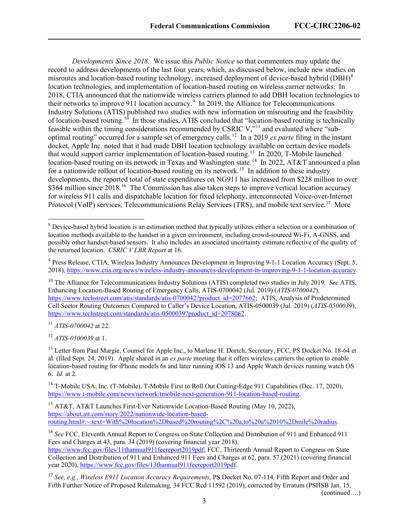*Developments Since 2018.* We issue this *Public Notice* so that commenters may update the record to address developments of the last four years, which, as discussed below, include new studies on misroutes and location-based routing technology, increased deployment of device-based hybrid (DBH)<sup>[8](#page-3-0)</sup> location technologies, and implementation of location-based routing on wireless carrier networks. In 2018, CTIA announced that the nationwide wireless carriers planned to add DBH location technologies to their networks to improve [9](#page-3-1)11 location accuracy.<sup>9</sup> In 2019, the Alliance for Telecommunications Industry Solutions (ATIS) published two studies with new information on misrouting and the feasibility of location-based routing.<sup>10</sup> In those studies, ATIS concluded that "location-based routing is technically feasible within the timing considerations recommended by CSRIC V,"[11](#page-3-3) and evaluated where "suboptimal routing" occurred for a sample set of emergency calls. [12](#page-3-4) In a 2019 *ex parte* filing in the instant docket, Apple Inc. noted that it had made DBH location technology available on certain device models that would support carrier implementation of location-based routing.<sup>[13](#page-3-5)</sup> In 2020, T-Mobile launched location-based routing on its network in Texas and Washington state.<sup>[14](#page-3-6)</sup> In 2022, AT&T announced a plan for a nationwide rollout of location-based routing on its network.<sup>[15](#page-3-7)</sup> In addition to these industry developments, the reported total of state expenditures on NG911 has increased from \$228 million to over \$364 million since 2018.<sup>[16](#page-3-8)</sup> The Commission has also taken steps to improve vertical location accuracy for wireless 911 calls and dispatchable location for fixed telephony, interconnected Voice-over-Internet Protocol (VoIP) services, Telecommunications Relay Services (TRS), and mobile text service.<sup>[17](#page-3-9)</sup> More

<span id="page-3-3"></span><sup>11</sup> *ATIS-0700042* at 22.

<span id="page-3-4"></span><sup>12</sup> *ATIS-0500039* at 1.

<span id="page-3-5"></span><sup>13</sup> Letter from Paul Margie, Counsel for Apple Inc., to Marlene H. Dortch, Secretary, FCC, PS Docket No. 18-64 et al. (filed Sept. 24, 2019). Apple shared in an *ex parte* meeting that it offers wireless carriers the option to enable location-based routing for iPhone models 6s and later running iOS 13 and Apple Watch devices running watch OS 6. *Id.* at 2.

<span id="page-3-6"></span><sup>14</sup> T-Mobile USA, Inc. (T-Mobile), T-Mobile First to Roll Out Cutting-Edge 911 Capabilities (Dec. 17, 2020), [https://www.t-mobile.com/news/network/tmobile-next-generation-911-location-based-routing.](https://www.t-mobile.com/news/network/tmobile-next-generation-911-location-based-routing)

<span id="page-3-7"></span><sup>15</sup> AT&T, AT&T Launches First-Ever Nationwide Location-Based Routing (May 10, 2022), [https://about.att.com/story/2022/nationwide-location-based](https://about.att.com/story/2022/nationwide-location-based-routing.html#:%7E:text=With%20location%2Dbased%20routing%2C%20a,to%20a%2010%2Dmile%20radius)[routing.html#:~:text=With%20location%2Dbased%20routing%2C%20a,to%20a%2010%2Dmile%20radius.](https://about.att.com/story/2022/nationwide-location-based-routing.html#:%7E:text=With%20location%2Dbased%20routing%2C%20a,to%20a%2010%2Dmile%20radius)

<span id="page-3-8"></span><sup>16</sup> *See* FCC, Eleventh Annual Report to Congress on State Collection and Distribution of 911 and Enhanced 911 Fees and Charges at 43, para. 34 (2019) (covering financial year 2018),

[https://www.fcc.gov/files/11thannual911feereport2019pdf;](https://www.fcc.gov/files/11thannual911feereport2019pdf) FCC, Thirteenth Annual Report to Congress on State Collection and Distribution of 911 and Enhanced 911 Fees and Charges at 62, para. 57 (2021) (covering financial year 2020), https://www.fcc.gov/files/13thannual911feereport2019pdf.

<span id="page-3-9"></span><sup>17</sup> *See, e.g., Wireless E911 Location Accuracy Requirements,* PS Docket No. 07-114*,* Fifth Report and Order and Fifth Further Notice of Proposed Rulemaking*,* 34 FCC Rcd 11592 (2019), corrected by Erratum (PSHSB Jan. 15,

(continued….)

<span id="page-3-0"></span><sup>&</sup>lt;sup>8</sup> Device-based hybrid location is an estimation method that typically utilizes either a selection or a combination of location methods available to the handset in a given environment, including crowd-sourced Wi-Fi, A-GNSS, and possibly other handset-based sensors. It also includes an associated uncertainty estimate reflective of the quality of the returned location. *CSRIC V LBR Report* at 16.

<span id="page-3-1"></span><sup>9</sup> Press Release, CTIA, Wireless Industry Announces Development in Improving 9-1-1 Location Accuracy (Sept. 5, 2018), [https://www.ctia.org/news/wireless-industry-announces-development-in-improving-9-1-1-location-accuracy.](https://www.ctia.org/news/wireless-industry-announces-development-in-improving-9-1-1-location-accuracy) 

<span id="page-3-2"></span><sup>&</sup>lt;sup>10</sup> The Alliance for Telecommunications Industry Solutions (ATIS) completed two studies in July 2019. *See* ATIS, Enhancing Location-Based Routing of Emergency Calls, ATIS-0700042 (Jul. 2019) (*ATIS-0700042*), [https://www.techstreet.com/atis/standards/atis-0700042?product\\_id=2077662;](https://www.techstreet.com/atis/standards/atis-0700042?product_id=2077662) ATIS, Analysis of Predetermined Cell Sector Routing Outcomes Compared to Caller's Device Location, ATIS-0500039 (Jul. 2019) (*ATIS-0500039*), [https://www.techstreet.com/standards/atis-0500039?product\\_id=2078062.](https://www.techstreet.com/standards/atis-0500039?product_id=2078062)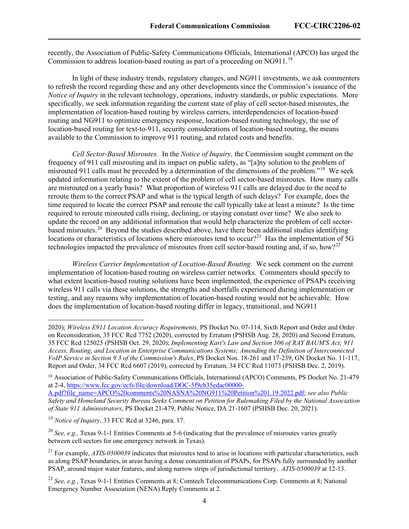recently, the Association of Public-Safety Communications Officials, International (APCO) has urged the Commission to address location-based routing as part of a proceeding on NG911.<sup>[18](#page-4-0)</sup>

In light of these industry trends, regulatory changes, and NG911 investments, we ask commenters to refresh the record regarding these and any other developments since the Commission's issuance of the *Notice of Inquiry* in the relevant technology, operations, industry standards, or public expectations. More specifically, we seek information regarding the current state of play of cell sector-based misroutes, the implementation of location-based routing by wireless carriers, interdependencies of location-based routing and NG911 to optimize emergency response, location-based routing technology, the use of location-based routing for text-to-911, security considerations of location-based routing, the means available to the Commission to improve 911 routing, and related costs and benefits.

*Cell Sector-Based Misroutes.* In the *Notice of Inquiry,* the Commission sought comment on the frequency of 911 call misrouting and its impact on public safety, as "[a]ny solution to the problem of misrouted 911 calls must be preceded by a determination of the dimensions of the problem."[19](#page-4-1) We seek updated information relating to the extent of the problem of cell sector-based misroutes. How many calls are misrouted on a yearly basis? What proportion of wireless 911 calls are delayed due to the need to reroute them to the correct PSAP and what is the typical length of such delays? For example, does the time required to locate the correct PSAP and reroute the call typically take at least a minute? Is the time required to reroute misrouted calls rising, declining, or staying constant over time? We also seek to update the record on any additional information that would help characterize the problem of cell sectorbased misroutes.<sup>20</sup> Beyond the studies described above, have there been additional studies identifying locations or characteristics of locations where misroutes tend to occur?<sup>[21](#page-4-3)</sup> Has the implementation of 5G technologies impacted the prevalence of misroutes from cell sector-based routing and, if so, how?<sup>[22](#page-4-4)</sup>

*Wireless Carrier Implementation of Location-Based Routing*. We seek comment on the current implementation of location-based routing on wireless carrier networks. Commenters should specify to what extent location-based routing solutions have been implemented, the experience of PSAPs receiving wireless 911 calls via these solutions, the strengths and shortfalls experienced during implementation or testing, and any reasons why implementation of location-based routing would not be achievable. How does the implementation of location-based routing differ in legacy, transitional, and NG911

<span id="page-4-1"></span><sup>19</sup> *Notice of Inquiry,* 33 FCC Rcd at 3246, para. 17.

<span id="page-4-2"></span><sup>20</sup> *See, e.g., Texas 9-1-1 Entities Comments at 5-6 (indicating that the prevalence of misroutes varies greatly* between cell sectors for one emergency network in Texas).

<sup>2020);</sup> *Wireless E911 Location Accuracy Requirements,* PS Docket No. 07-114, Sixth Report and Order and Order on Reconsideration, 35 FCC Rcd 7752 (2020), corrected by Erratum (PSHSB Aug. 28, 2020) and Second Erratum, 35 FCC Rcd 125025 (PSHSB Oct. 29, 2020); *Implementing Kari's Law and Section 506 of RAY BAUM'S Act; 911 Access, Routing, and Location in Enterprise Communications Systems; Amending the Definition of Interconnected VoIP Service in Section 9.3 of the Commission's Rules*, PS Docket Nos. 18-261 and 17-239, GN Docket No. 11-117, Report and Order, 34 FCC Rcd 6607 (2019), corrected by Erratum, 34 FCC Rcd 11073 (PSHSB Dec. 2, 2019).

<span id="page-4-0"></span><sup>18</sup> Association of Public-Safety Communications Officials, International (APCO) Comments, PS Docket No. 21-479 at 2-4, [https://www.fcc.gov/ecfs/file/download/DOC-5f9cb35edac00000-](https://www.fcc.gov/ecfs/file/download/DOC-5f9cb35edac00000-A.pdf?file_name=APCO%20comments%20NASNA%20NG911%20Petition%201.19.2022.pdf)

[A.pdf?file\\_name=APCO%20comments%20NASNA%20NG911%20Petition%201.19.2022.pdf;](https://www.fcc.gov/ecfs/file/download/DOC-5f9cb35edac00000-A.pdf?file_name=APCO%20comments%20NASNA%20NG911%20Petition%201.19.2022.pdf) *see also Public Safety and Homeland Security Bureau Seeks Comment on Petition for Rulemaking Filed by the National Association of State 911 Administrators*, PS Docket 21-479, Public Notice, DA 21-1607 (PSHSB Dec. 20, 2021).

<span id="page-4-3"></span><sup>&</sup>lt;sup>21</sup> For example, *ATIS-0500039* indicates that misroutes tend to arise in locations with particular characteristics, such as along PSAP boundaries, in areas having a dense concentration of PSAPs, for PSAPs fully surrounded by another PSAP, around major water features, and along narrow strips of jurisdictional territory. *ATIS-0500039* at 12-13.

<span id="page-4-4"></span><sup>22</sup> *See, e.g.*, Texas 9-1-1 Entities Comments at 8; Comtech Telecommunications Corp. Comments at 8; National Emergency Number Association (NENA) Reply Comments at 2.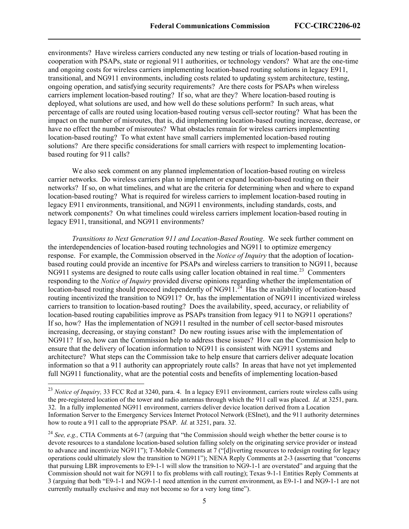environments? Have wireless carriers conducted any new testing or trials of location-based routing in cooperation with PSAPs, state or regional 911 authorities, or technology vendors? What are the one-time and ongoing costs for wireless carriers implementing location-based routing solutions in legacy E911, transitional, and NG911 environments, including costs related to updating system architecture, testing, ongoing operation, and satisfying security requirements? Are there costs for PSAPs when wireless carriers implement location-based routing? If so, what are they? Where location-based routing is deployed, what solutions are used, and how well do these solutions perform? In such areas, what percentage of calls are routed using location-based routing versus cell-sector routing? What has been the impact on the number of misroutes, that is, did implementing location-based routing increase, decrease, or have no effect the number of misroutes? What obstacles remain for wireless carriers implementing location-based routing? To what extent have small carriers implemented location-based routing solutions? Are there specific considerations for small carriers with respect to implementing locationbased routing for 911 calls?

We also seek comment on any planned implementation of location-based routing on wireless carrier networks. Do wireless carriers plan to implement or expand location-based routing on their networks? If so, on what timelines, and what are the criteria for determining when and where to expand location-based routing? What is required for wireless carriers to implement location-based routing in legacy E911 environments, transitional, and NG911 environments, including standards, costs, and network components? On what timelines could wireless carriers implement location-based routing in legacy E911, transitional, and NG911 environments?

*Transitions to Next Generation 911 and Location-Based Routing*. We seek further comment on the interdependencies of location-based routing technologies and NG911 to optimize emergency response. For example, the Commission observed in the *Notice of Inquiry* that the adoption of locationbased routing could provide an incentive for PSAPs and wireless carriers to transition to NG911, because NG911 systems are designed to route calls using caller location obtained in real time.<sup>[23](#page-5-0)</sup> Commenters responding to the *Notice of Inquiry* provided diverse opinions regarding whether the implementation of location-based routing should proceed independently of NG911.<sup>[24](#page-5-1)</sup> Has the availability of location-based routing incentivized the transition to NG911? Or, has the implementation of NG911 incentivized wireless carriers to transition to location-based routing? Does the availability, speed, accuracy, or reliability of location-based routing capabilities improve as PSAPs transition from legacy 911 to NG911 operations? If so, how? Has the implementation of NG911 resulted in the number of cell sector-based misroutes increasing, decreasing, or staying constant? Do new routing issues arise with the implementation of NG911? If so, how can the Commission help to address these issues? How can the Commission help to ensure that the delivery of location information to NG911 is consistent with NG911 systems and architecture? What steps can the Commission take to help ensure that carriers deliver adequate location information so that a 911 authority can appropriately route calls? In areas that have not yet implemented full NG911 functionality, what are the potential costs and benefits of implementing location-based

<span id="page-5-0"></span><sup>&</sup>lt;sup>23</sup> *Notice of Inquirv*. 33 FCC Rcd at 3240, para. 4. In a legacy E911 environment, carriers route wireless calls using the pre-registered location of the tower and radio antennas through which the 911 call was placed. *Id.* at 3251, para. 32. In a fully implemented NG911 environment, carriers deliver device location derived from a Location Information Server to the Emergency Services Internet Protocol Network (ESInet), and the 911 authority determines how to route a 911 call to the appropriate PSAP. *Id.* at 3251, para. 32.

<span id="page-5-1"></span><sup>&</sup>lt;sup>24</sup> *See, e.g.,* CTIA Comments at 6-7 (arguing that "the Commission should weigh whether the better course is to devote resources to a standalone location-based solution falling solely on the originating service provider or instead to advance and incentivize NG911"); T-Mobile Comments at 7 ("[d]iverting resources to redesign routing for legacy operations could ultimately slow the transition to NG911"); NENA Reply Comments at 2-3 (asserting that "concerns that pursuing LBR improvements to E9-1-1 will slow the transition to NG9-1-1 are overstated" and arguing that the Commission should not wait for NG911 to fix problems with call routing); Texas 9-1-1 Entities Reply Comments at 3 (arguing that both "E9-1-1 and NG9-1-1 need attention in the current environment, as E9-1-1 and NG9-1-1 are not currently mutually exclusive and may not become so for a very long time").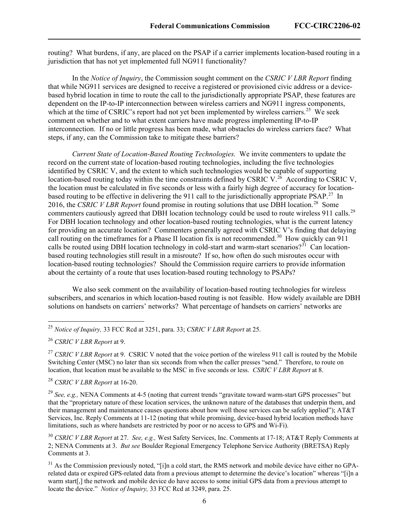routing? What burdens, if any, are placed on the PSAP if a carrier implements location-based routing in a jurisdiction that has not yet implemented full NG911 functionality?

In the *Notice of Inquiry*, the Commission sought comment on the *CSRIC V LBR Report* finding that while NG911 services are designed to receive a registered or provisioned civic address or a devicebased hybrid location in time to route the call to the jurisdictionally appropriate PSAP, these features are dependent on the IP-to-IP interconnection between wireless carriers and NG911 ingress components, which at the time of CSRIC's report had not yet been implemented by wireless carriers.<sup>[25](#page-6-0)</sup> We seek comment on whether and to what extent carriers have made progress implementing IP-to-IP interconnection. If no or little progress has been made, what obstacles do wireless carriers face? What steps, if any, can the Commission take to mitigate these barriers?

*Current State of Location-Based Routing Technologies.* We invite commenters to update the record on the current state of location-based routing technologies, including the five technologies identified by CSRIC V, and the extent to which such technologies would be capable of supporting location-based routing today within the time constraints defined by CSRIC V.<sup>26</sup> According to CSRIC V, the location must be calculated in five seconds or less with a fairly high degree of accuracy for location-based routing to be effective in delivering the 911 call to the jurisdictionally appropriate PSAP.<sup>[27](#page-6-2)</sup> In 2016, the *CSRIC V LBR Report* found promise in routing solutions that use DBH location. [28](#page-6-3) Some commenters cautiously agreed that DBH location technology could be used to route wireless 911 calls.<sup>29</sup> For DBH location technology and other location-based routing technologies, what is the current latency for providing an accurate location? Commenters generally agreed with CSRIC V's finding that delaying call routing on the timeframes for a Phase II location fix is not recommended.<sup>30</sup> How quickly can 911 calls be routed using DBH location technology in cold-start and warm-start scenarios?<sup>[31](#page-6-6)</sup> Can locationbased routing technologies still result in a misroute? If so, how often do such misroutes occur with location-based routing technologies? Should the Commission require carriers to provide information about the certainty of a route that uses location-based routing technology to PSAPs?

We also seek comment on the availability of location-based routing technologies for wireless subscribers, and scenarios in which location-based routing is not feasible. How widely available are DBH solutions on handsets on carriers' networks? What percentage of handsets on carriers' networks are

<span id="page-6-3"></span><sup>28</sup> *CSRIC V LBR Report* at 16-20.

<span id="page-6-0"></span><sup>25</sup> *Notice of Inquiry,* 33 FCC Rcd at 3251, para. 33; *CSRIC V LBR Report* at 25.

<span id="page-6-1"></span><sup>26</sup> *CSRIC V LBR Report* at 9.

<span id="page-6-2"></span><sup>&</sup>lt;sup>27</sup> *CSRIC V LBR Report* at 9. CSRIC V noted that the voice portion of the wireless 911 call is routed by the Mobile Switching Center (MSC) no later than six seconds from when the caller presses "send." Therefore, to route on location, that location must be available to the MSC in five seconds or less. *CSRIC V LBR Report* at 8.

<span id="page-6-4"></span><sup>29</sup> *See, e.g.,* NENA Comments at 4-5 (noting that current trends "gravitate toward warm-start GPS processes" but that the "proprietary nature of these location services, the unknown nature of the databases that underpin them, and their management and maintenance causes questions about how well those services can be safely applied"); AT&T Services, Inc. Reply Comments at 11-12 (noting that while promising, device-based hybrid location methods have limitations, such as where handsets are restricted by poor or no access to GPS and Wi-Fi).

<span id="page-6-5"></span><sup>30</sup> *CSRIC V LBR Report* at 27. *See, e.g.,* West Safety Services, Inc. Comments at 17-18; AT&T Reply Comments at 2; NENA Comments at 3. *But see* Boulder Regional Emergency Telephone Service Authority (BRETSA) Reply Comments at 3.

<span id="page-6-6"></span> $31$  As the Commission previously noted, "[i]n a cold start, the RMS network and mobile device have either no GPArelated data or expired GPS-related data from a previous attempt to determine the device's location" whereas "[i]n a warm start[,] the network and mobile device do have access to some initial GPS data from a previous attempt to locate the device." *Notice of Inquiry,* 33 FCC Rcd at 3249, para. 25.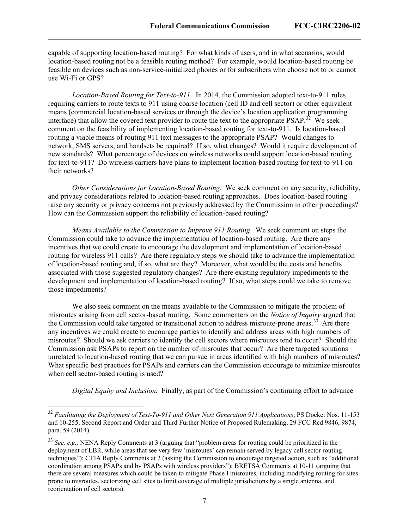capable of supporting location-based routing? For what kinds of users, and in what scenarios, would location-based routing not be a feasible routing method? For example, would location-based routing be feasible on devices such as non-service-initialized phones or for subscribers who choose not to or cannot use Wi-Fi or GPS?

*Location-Based Routing for Text-to-911*. In 2014, the Commission adopted text-to-911 rules requiring carriers to route texts to 911 using coarse location (cell ID and cell sector) or other equivalent means (commercial location-based services or through the device's location application programming interface) that allow the covered text provider to route the text to the appropriate PSAP.<sup>[32](#page-7-0)</sup> We seek comment on the feasibility of implementing location-based routing for text-to-911. Is location-based routing a viable means of routing 911 text messages to the appropriate PSAP? Would changes to network, SMS servers, and handsets be required? If so, what changes? Would it require development of new standards? What percentage of devices on wireless networks could support location-based routing for text-to-911? Do wireless carriers have plans to implement location-based routing for text-to-911 on their networks?

*Other Considerations for Location-Based Routing.* We seek comment on any security, reliability, and privacy considerations related to location-based routing approaches. Does location-based routing raise any security or privacy concerns not previously addressed by the Commission in other proceedings? How can the Commission support the reliability of location-based routing?

*Means Available to the Commission to Improve 911 Routing*. We seek comment on steps the Commission could take to advance the implementation of location-based routing. Are there any incentives that we could create to encourage the development and implementation of location-based routing for wireless 911 calls? Are there regulatory steps we should take to advance the implementation of location-based routing and, if so, what are they? Moreover, what would be the costs and benefits associated with those suggested regulatory changes? Are there existing regulatory impediments to the development and implementation of location-based routing? If so, what steps could we take to remove those impediments?

We also seek comment on the means available to the Commission to mitigate the problem of misroutes arising from cell sector-based routing. Some commenters on the *Notice of Inquiry* argued that the Commission could take targeted or transitional action to address misroute-prone areas.<sup>33</sup> Are there any incentives we could create to encourage parties to identify and address areas with high numbers of misroutes? Should we ask carriers to identify the cell sectors where misroutes tend to occur? Should the Commission ask PSAPs to report on the number of misroutes that occur? Are there targeted solutions unrelated to location-based routing that we can pursue in areas identified with high numbers of misroutes? What specific best practices for PSAPs and carriers can the Commission encourage to minimize misroutes when cell sector-based routing is used?

*Digital Equity and Inclusion.* Finally, as part of the Commission's continuing effort to advance

<span id="page-7-0"></span><sup>32</sup> *Facilitating the Deployment of Text-To-911 and Other Next Generation 911 Applications*, PS Docket Nos. 11-153 and 10-255, Second Report and Order and Third Further Notice of Proposed Rulemaking, 29 FCC Rcd 9846, 9874, para. 59 (2014).

<span id="page-7-1"></span><sup>33</sup> *See, e.g.,* NENA Reply Comments at 3 (arguing that "problem areas for routing could be prioritized in the deployment of LBR, while areas that see very few 'misroutes' can remain served by legacy cell sector routing techniques"); CTIA Reply Comments at 2 (asking the Commission to encourage targeted action, such as "additional coordination among PSAPs and by PSAPs with wireless providers"); BRETSA Comments at 10-11 (arguing that there are several measures which could be taken to mitigate Phase I misroutes, including modifying routing for sites prone to misroutes, sectorizing cell sites to limit coverage of multiple jurisdictions by a single antenna, and reorientation of cell sectors).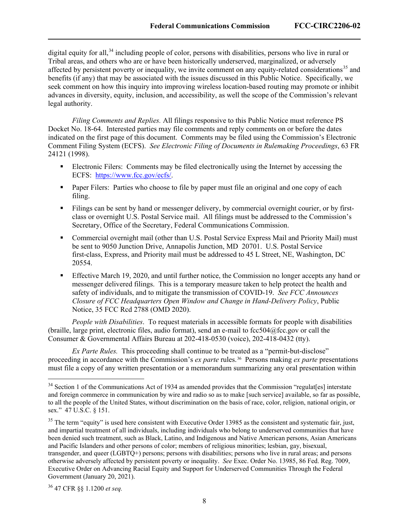digital equity for all,<sup>[34](#page-8-0)</sup> including people of color, persons with disabilities, persons who live in rural or Tribal areas, and others who are or have been historically underserved, marginalized, or adversely affected by persistent poverty or inequality, we invite comment on any equity-related considerations<sup>[35](#page-8-1)</sup> and benefits (if any) that may be associated with the issues discussed in this Public Notice. Specifically, we seek comment on how this inquiry into improving wireless location-based routing may promote or inhibit advances in diversity, equity, inclusion, and accessibility, as well the scope of the Commission's relevant legal authority.

*Filing Comments and Replies.* All filings responsive to this Public Notice must reference PS Docket No. 18-64. Interested parties may file comments and reply comments on or before the dates indicated on the first page of this document. Comments may be filed using the Commission's Electronic Comment Filing System (ECFS). *See Electronic Filing of Documents in Rulemaking Proceedings*, 63 FR 24121 (1998).

- Electronic Filers: Comments may be filed electronically using the Internet by accessing the ECFS: https://www.fcc.gov/ecfs/.
- **Paper Filers: Parties who choose to file by paper must file an original and one copy of each** filing.
- Filings can be sent by hand or messenger delivery, by commercial overnight courier, or by firstclass or overnight U.S. Postal Service mail. All filings must be addressed to the Commission's Secretary, Office of the Secretary, Federal Communications Commission.
- Commercial overnight mail (other than U.S. Postal Service Express Mail and Priority Mail) must be sent to 9050 Junction Drive, Annapolis Junction, MD 20701. U.S. Postal Service first-class, Express, and Priority mail must be addressed to 45 L Street, NE, Washington, DC 20554.
- **Effective March 19, 2020, and until further notice, the Commission no longer accepts any hand or** messenger delivered filings. This is a temporary measure taken to help protect the health and safety of individuals, and to mitigate the transmission of COVID-19. *See FCC Announces Closure of FCC Headquarters Open Window and Change in Hand-Delivery Policy*, Public Notice, 35 FCC Rcd 2788 (OMD 2020).

*People with Disabilities*. To request materials in accessible formats for people with disabilities (braille, large print, electronic files, audio format), send an e-mail to  $fcc504@$ fcc.gov or call the Consumer & Governmental Affairs Bureau at 202-418-0530 (voice), 202-418-0432 (tty).

*Ex Parte Rules.* This proceeding shall continue to be treated as a "permit-but-disclose" proceeding in accordance with the Commission's *ex parte* rules.[36](#page-8-2) Persons making *ex parte* presentations must file a copy of any written presentation or a memorandum summarizing any oral presentation within

<span id="page-8-0"></span><sup>&</sup>lt;sup>34</sup> Section 1 of the Communications Act of 1934 as amended provides that the Commission "regulat[es] interstate and foreign commerce in communication by wire and radio so as to make [such service] available, so far as possible, to all the people of the United States, without discrimination on the basis of race, color, religion, national origin, or sex." 47 U.S.C. § 151.

<span id="page-8-1"></span> $35$  The term "equity" is used here consistent with Executive Order 13985 as the consistent and systematic fair, just, and impartial treatment of all individuals, including individuals who belong to underserved communities that have been denied such treatment, such as Black, Latino, and Indigenous and Native American persons, Asian Americans and Pacific Islanders and other persons of color; members of religious minorities; lesbian, gay, bisexual, transgender, and queer (LGBTQ+) persons; persons with disabilities; persons who live in rural areas; and persons otherwise adversely affected by persistent poverty or inequality. *See* Exec. Order No. 13985, 86 Fed. Reg. 7009, Executive Order on Advancing Racial Equity and Support for Underserved Communities Through the Federal Government (January 20, 2021).

<span id="page-8-2"></span><sup>36</sup> 47 CFR §§ 1.1200 *et seq.*